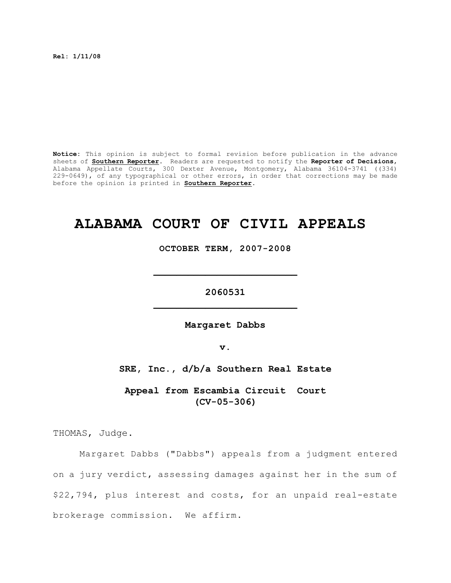**Rel: 1/11/08**

**Notice:** This opinion is subject to formal revision before publication in the advance sheets of **Southern Reporter**. Readers are requested to notify the **Reporter of Decisions**, Alabama Appellate Courts, 300 Dexter Avenue, Montgomery, Alabama 36104-3741 ((334) 229-0649), of any typographical or other errors, in order that corrections may be made before the opinion is printed in **Southern Reporter**.

# **ALABAMA COURT OF CIVIL APPEALS**

**OCTOBER TERM, 2007-2008**

**\_\_\_\_\_\_\_\_\_\_\_\_\_\_\_\_\_\_\_\_\_\_\_\_\_**

**2060531 \_\_\_\_\_\_\_\_\_\_\_\_\_\_\_\_\_\_\_\_\_\_\_\_\_**

**Margaret Dabbs**

**v.**

**SRE, Inc., d/b/a Southern Real Estate**

**Appeal from Escambia Circuit Court (CV-05-306)**

THOMAS, Judge.

Margaret Dabbs ("Dabbs") appeals from a judgment entered on a jury verdict, assessing damages against her in the sum of \$22,794, plus interest and costs, for an unpaid real-estate brokerage commission. We affirm.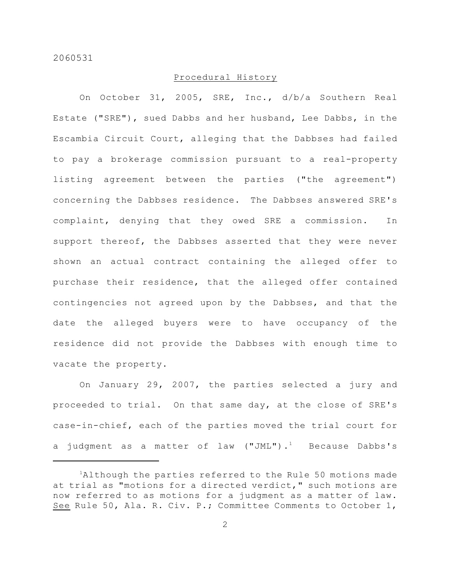# Procedural History

On October 31, 2005, SRE, Inc., d/b/a Southern Real Estate ("SRE"), sued Dabbs and her husband, Lee Dabbs, in the Escambia Circuit Court, alleging that the Dabbses had failed to pay a brokerage commission pursuant to a real-property listing agreement between the parties ("the agreement") concerning the Dabbses residence. The Dabbses answered SRE's complaint, denying that they owed SRE a commission. In support thereof, the Dabbses asserted that they were never shown an actual contract containing the alleged offer to purchase their residence, that the alleged offer contained contingencies not agreed upon by the Dabbses, and that the date the alleged buyers were to have occupancy of the residence did not provide the Dabbses with enough time to vacate the property.

On January 29, 2007, the parties selected a jury and proceeded to trial. On that same day, at the close of SRE's case-in-chief, each of the parties moved the trial court for a judgment as a matter of law  $("JML")$ .<sup>1</sup> Because Dabbs's

 ${}^{1}$ Although the parties referred to the Rule 50 motions made at trial as "motions for a directed verdict," such motions are now referred to as motions for a judgment as a matter of law. See Rule 50, Ala. R. Civ. P.; Committee Comments to October 1,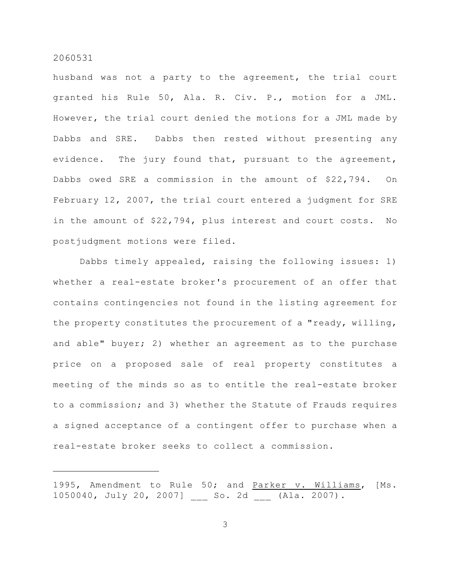husband was not a party to the agreement, the trial court granted his Rule 50, Ala. R. Civ. P., motion for a JML. However, the trial court denied the motions for a JML made by Dabbs and SRE. Dabbs then rested without presenting any evidence. The jury found that, pursuant to the agreement, Dabbs owed SRE a commission in the amount of \$22,794. On February 12, 2007, the trial court entered a judgment for SRE in the amount of \$22,794, plus interest and court costs. No postjudgment motions were filed.

Dabbs timely appealed, raising the following issues: 1) whether a real-estate broker's procurement of an offer that contains contingencies not found in the listing agreement for the property constitutes the procurement of a "ready, willing, and able" buyer; 2) whether an agreement as to the purchase price on a proposed sale of real property constitutes a meeting of the minds so as to entitle the real-estate broker to a commission; and 3) whether the Statute of Frauds requires a signed acceptance of a contingent offer to purchase when a real-estate broker seeks to collect a commission.

<sup>1995,</sup> Amendment to Rule 50; and Parker v. Williams, [Ms. 1050040, July 20, 2007] \_\_\_ So. 2d \_\_\_ (Ala. 2007).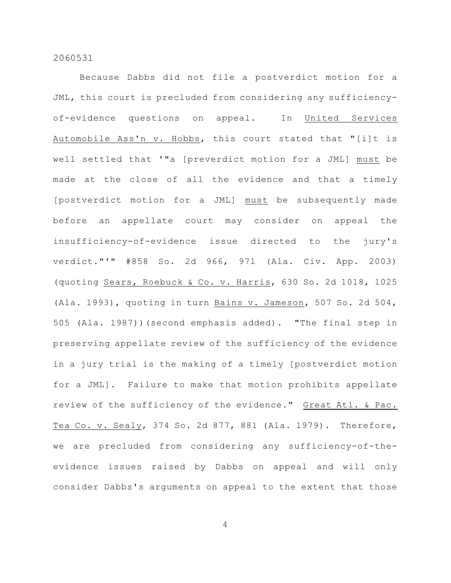Because Dabbs did not file a postverdict motion for a JML, this court is precluded from considering any sufficiencyof-evidence questions on appeal. In United Services Automobile Ass'n v. Hobbs, this court stated that "[i]t is well settled that '"a [preverdict motion for a JML] must be made at the close of all the evidence and that a timely [postverdict motion for a JML] must be subsequently made before an appellate court may consider on appeal the insufficiency-of-evidence issue directed to the jury's verdict."'" #858 So. 2d 966, 971 (Ala. Civ. App. 2003) (quoting Sears, Roebuck & Co. v. Harris, 630 So. 2d 1018, 1025 (Ala. 1993), quoting in turn Bains v. Jameson, 507 So. 2d 504, 505 (Ala. 1987))(second emphasis added). "The final step in preserving appellate review of the sufficiency of the evidence in a jury trial is the making of a timely [postverdict motion for a JML]. Failure to make that motion prohibits appellate review of the sufficiency of the evidence." Great Atl. & Pac. Tea Co. v. Sealy, 374 So. 2d 877, 881 (Ala. 1979). Therefore, we are precluded from considering any sufficiency-of-theevidence issues raised by Dabbs on appeal and will only consider Dabbs's arguments on appeal to the extent that those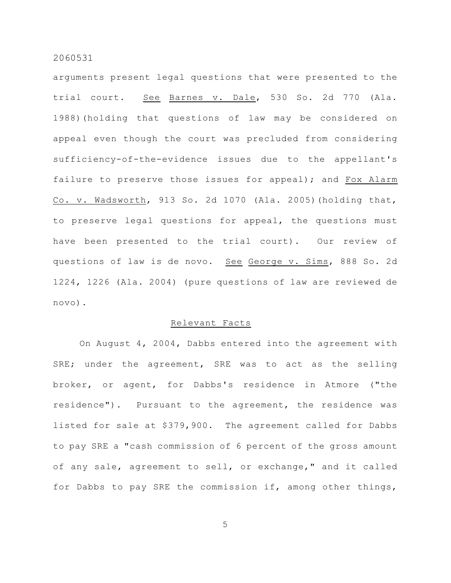arguments present legal questions that were presented to the trial court. See Barnes v. Dale, 530 So. 2d 770 (Ala. 1988)(holding that questions of law may be considered on appeal even though the court was precluded from considering sufficiency-of-the-evidence issues due to the appellant's failure to preserve those issues for appeal); and Fox Alarm Co. v. Wadsworth, 913 So. 2d 1070 (Ala. 2005)(holding that, to preserve legal questions for appeal, the questions must have been presented to the trial court). Our review of questions of law is de novo. See George v. Sims, 888 So. 2d 1224, 1226 (Ala. 2004) (pure questions of law are reviewed de novo).

### Relevant Facts

On August 4, 2004, Dabbs entered into the agreement with SRE; under the agreement, SRE was to act as the selling broker, or agent, for Dabbs's residence in Atmore ("the residence"). Pursuant to the agreement, the residence was listed for sale at \$379,900. The agreement called for Dabbs to pay SRE a "cash commission of 6 percent of the gross amount of any sale, agreement to sell, or exchange," and it called for Dabbs to pay SRE the commission if, among other things,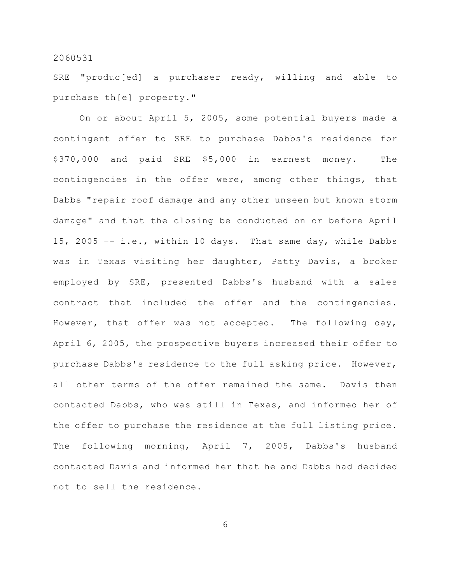SRE "produc[ed] a purchaser ready, willing and able to purchase th[e] property."

On or about April 5, 2005, some potential buyers made a contingent offer to SRE to purchase Dabbs's residence for \$370,000 and paid SRE \$5,000 in earnest money. The contingencies in the offer were, among other things, that Dabbs "repair roof damage and any other unseen but known storm damage" and that the closing be conducted on or before April 15, 2005 –- i.e., within 10 days. That same day, while Dabbs was in Texas visiting her daughter, Patty Davis, a broker employed by SRE, presented Dabbs's husband with a sales contract that included the offer and the contingencies. However, that offer was not accepted. The following day, April 6, 2005, the prospective buyers increased their offer to purchase Dabbs's residence to the full asking price. However, all other terms of the offer remained the same. Davis then contacted Dabbs, who was still in Texas, and informed her of the offer to purchase the residence at the full listing price. The following morning, April 7, 2005, Dabbs's husband contacted Davis and informed her that he and Dabbs had decided not to sell the residence.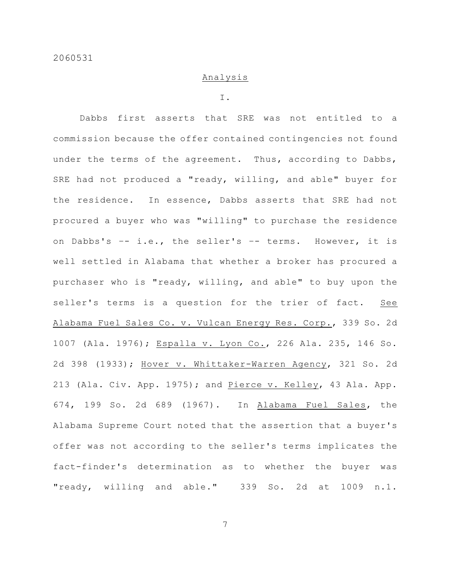# Analysis

#### I.

Dabbs first asserts that SRE was not entitled to a commission because the offer contained contingencies not found under the terms of the agreement. Thus, according to Dabbs, SRE had not produced a "ready, willing, and able" buyer for the residence. In essence, Dabbs asserts that SRE had not procured a buyer who was "willing" to purchase the residence on Dabbs's –- i.e., the seller's –- terms. However, it is well settled in Alabama that whether a broker has procured a purchaser who is "ready, willing, and able" to buy upon the seller's terms is a question for the trier of fact. See Alabama Fuel Sales Co. v. Vulcan Energy Res. Corp., 339 So. 2d 1007 (Ala. 1976); Espalla v. Lyon Co., 226 Ala. 235, 146 So. 2d 398 (1933); Hover v. Whittaker-Warren Agency, 321 So. 2d 213 (Ala. Civ. App. 1975); and Pierce v. Kelley, 43 Ala. App. 674, 199 So. 2d 689 (1967). In Alabama Fuel Sales, the Alabama Supreme Court noted that the assertion that a buyer's offer was not according to the seller's terms implicates the fact-finder's determination as to whether the buyer was "ready, willing and able." 339 So. 2d at 1009 n.1.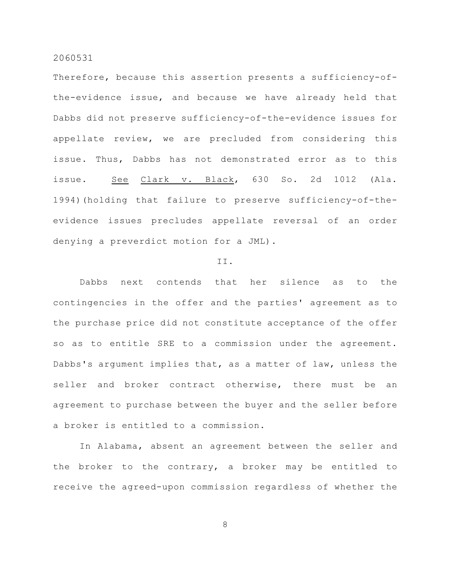Therefore, because this assertion presents a sufficiency-ofthe-evidence issue, and because we have already held that Dabbs did not preserve sufficiency-of-the-evidence issues for appellate review, we are precluded from considering this issue. Thus, Dabbs has not demonstrated error as to this issue. See Clark v. Black, 630 So. 2d 1012 (Ala. 1994)(holding that failure to preserve sufficiency-of-theevidence issues precludes appellate reversal of an order denying a preverdict motion for a JML).

## II.

Dabbs next contends that her silence as to the contingencies in the offer and the parties' agreement as to the purchase price did not constitute acceptance of the offer so as to entitle SRE to a commission under the agreement. Dabbs's argument implies that, as a matter of law, unless the seller and broker contract otherwise, there must be an agreement to purchase between the buyer and the seller before a broker is entitled to a commission.

In Alabama, absent an agreement between the seller and the broker to the contrary, a broker may be entitled to receive the agreed-upon commission regardless of whether the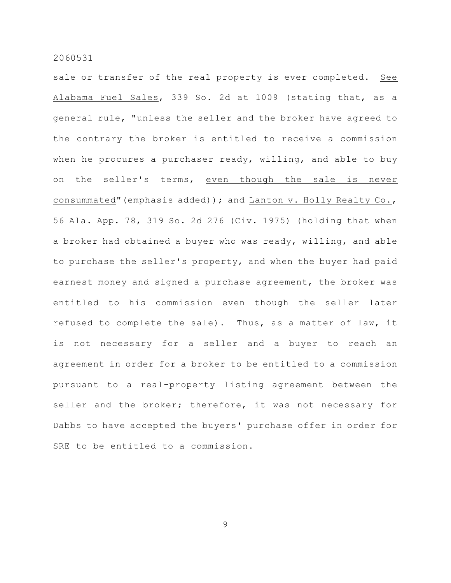sale or transfer of the real property is ever completed. See Alabama Fuel Sales, 339 So. 2d at 1009 (stating that, as a general rule, "unless the seller and the broker have agreed to the contrary the broker is entitled to receive a commission when he procures a purchaser ready, willing, and able to buy on the seller's terms, even though the sale is never consummated"(emphasis added)); and Lanton v. Holly Realty Co., 56 Ala. App. 78, 319 So. 2d 276 (Civ. 1975) (holding that when a broker had obtained a buyer who was ready, willing, and able to purchase the seller's property, and when the buyer had paid earnest money and signed a purchase agreement, the broker was entitled to his commission even though the seller later refused to complete the sale). Thus, as a matter of law, it is not necessary for a seller and a buyer to reach an agreement in order for a broker to be entitled to a commission pursuant to a real-property listing agreement between the seller and the broker; therefore, it was not necessary for Dabbs to have accepted the buyers' purchase offer in order for SRE to be entitled to a commission.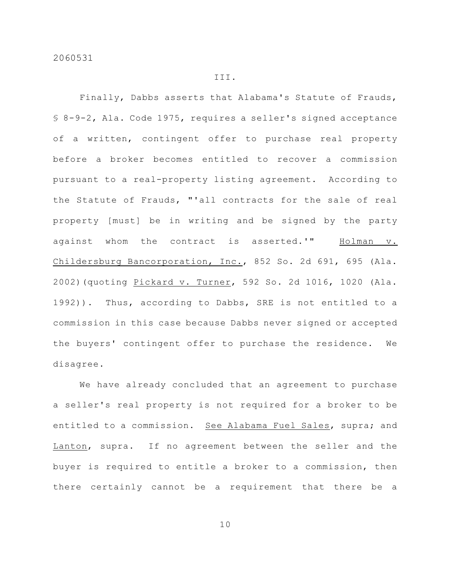# III.

Finally, Dabbs asserts that Alabama's Statute of Frauds, § 8-9-2, Ala. Code 1975, requires a seller's signed acceptance of a written, contingent offer to purchase real property before a broker becomes entitled to recover a commission pursuant to a real-property listing agreement. According to the Statute of Frauds, "'all contracts for the sale of real property [must] be in writing and be signed by the party against whom the contract is asserted.'" Holman v. Childersburg Bancorporation, Inc., 852 So. 2d 691, 695 (Ala. 2002)(quoting Pickard v. Turner, 592 So. 2d 1016, 1020 (Ala. 1992)). Thus, according to Dabbs, SRE is not entitled to a commission in this case because Dabbs never signed or accepted the buyers' contingent offer to purchase the residence. We disagree.

We have already concluded that an agreement to purchase a seller's real property is not required for a broker to be entitled to a commission. See Alabama Fuel Sales, supra; and Lanton, supra. If no agreement between the seller and the buyer is required to entitle a broker to a commission, then there certainly cannot be a requirement that there be a